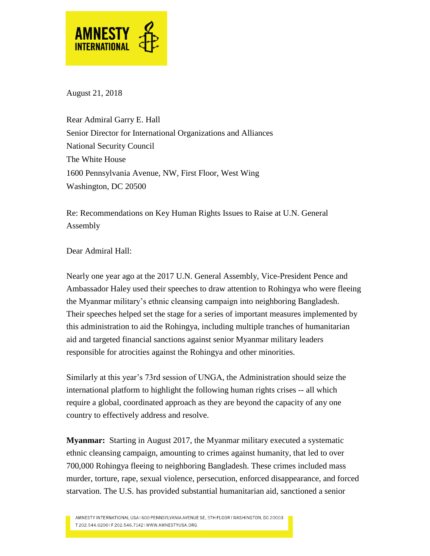

August 21, 2018

Rear Admiral Garry E. Hall Senior Director for International Organizations and Alliances National Security Council The White House 1600 Pennsylvania Avenue, NW, First Floor, West Wing Washington, DC 20500

Re: Recommendations on Key Human Rights Issues to Raise at U.N. General Assembly

Dear Admiral Hall:

Nearly one year ago at the 2017 U.N. General Assembly, Vice-President Pence and Ambassador Haley used their speeches to draw attention to Rohingya who were fleeing the Myanmar military's ethnic cleansing campaign into neighboring Bangladesh. Their speeches helped set the stage for a series of important measures implemented by this administration to aid the Rohingya, including multiple tranches of humanitarian aid and targeted financial sanctions against senior Myanmar military leaders responsible for atrocities against the Rohingya and other minorities.

Similarly at this year's 73rd session of UNGA, the Administration should seize the international platform to highlight the following human rights crises -- all which require a global, coordinated approach as they are beyond the capacity of any one country to effectively address and resolve.

**Myanmar:** Starting in August 2017, the Myanmar military executed a systematic ethnic cleansing campaign, amounting to crimes against humanity, that led to over 700,000 Rohingya fleeing to neighboring Bangladesh. These crimes included mass murder, torture, rape, sexual violence, persecution, enforced disappearance, and forced starvation. The U.S. has provided substantial humanitarian aid, sanctioned a senior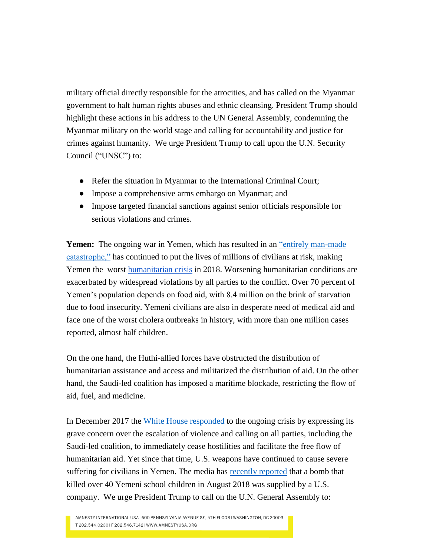military official directly responsible for the atrocities, and has called on the Myanmar government to halt human rights abuses and ethnic cleansing. President Trump should highlight these actions in his address to the UN General Assembly, condemning the Myanmar military on the world stage and calling for accountability and justice for crimes against humanity. We urge President Trump to call upon the U.N. Security Council ("UNSC") to:

- Refer the situation in Myanmar to the International Criminal Court;
- Impose a comprehensive arms embargo on Myanmar; and
- Impose targeted financial sanctions against senior officials responsible for serious violations and crimes.

**Yemen:** The ongoing war in Yemen, which has resulted in an "entirely man-made" [catastrophe,"](https://www.ohchr.org/EN/NewsEvents/Pages/DisplayNews.aspx?NewsID=22025&LangID=E) has continued to put the lives of millions of civilians at risk, making Yemen the worst [humanitarian crisis](https://www.amnesty.org/download/Documents/MDE3185052018ENGLISH.pdf) in 2018. Worsening humanitarian conditions are exacerbated by widespread violations by all parties to the conflict. Over 70 percent of Yemen's population depends on food aid, with 8.4 million on the brink of starvation due to food insecurity. Yemeni civilians are also in desperate need of medical aid and face one of the worst cholera outbreaks in history, with more than one million cases reported, almost half children.

On the one hand, the Huthi-allied forces have obstructed the distribution of humanitarian assistance and access and militarized the distribution of aid. On the other hand, the Saudi-led coalition has imposed a maritime blockade, restricting the flow of aid, fuel, and medicine.

In December 2017 the [White House](https://www.whitehouse.gov/briefings-statements/statement-press-secretary-regarding-violence-humanitarian-conditions-yemen/) responded to the ongoing crisis by expressing its grave concern over the escalation of violence and calling on all parties, including the Saudi-led coalition, to immediately cease hostilities and facilitate the free flow of humanitarian aid. Yet since that time, U.S. weapons have continued to cause severe suffering for civilians in Yemen. The media has [recently reported](https://www.cnn.com/2018/08/17/middleeast/us-saudi-yemen-bus-strike-intl/index.html) that a bomb that killed over 40 Yemeni school children in August 2018 was supplied by a U.S. company. We urge President Trump to call on the U.N. General Assembly to:

AMNESTY INTERNATIONAL USA I 600 PENNSYLVANIA AVENUE SE, 5TH FLOOR I WASHINGTON, DC 20003 T 202.544.02001F 202.546.71421WWW.AMNESTYUSA.ORG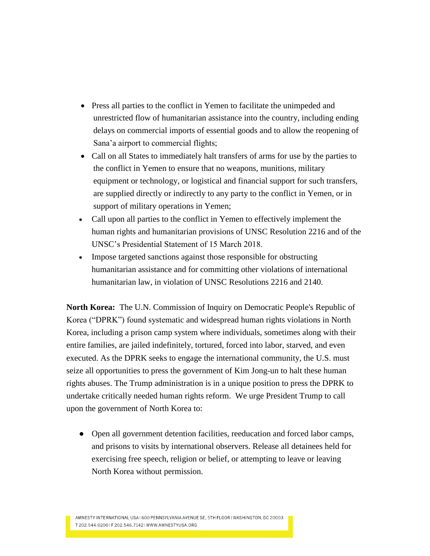- Press all parties to the conflict in Yemen to facilitate the unimpeded and unrestricted flow of humanitarian assistance into the country, including ending delays on commercial imports of essential goods and to allow the reopening of Sana'a airport to commercial flights;
- Call on all States to immediately halt transfers of arms for use by the parties to the conflict in Yemen to ensure that no weapons, munitions, military equipment or technology, or logistical and financial support for such transfers, are supplied directly or indirectly to any party to the conflict in Yemen, or in support of military operations in Yemen;
- Call upon all parties to the conflict in Yemen to effectively implement the human rights and humanitarian provisions of UNSC Resolution 2216 and of the UNSC's Presidential Statement of 15 March 2018.
- Impose targeted sanctions against those responsible for obstructing humanitarian assistance and for committing other violations of international humanitarian law, in violation of UNSC Resolutions 2216 and 2140.

**North Korea:** The U.N. Commission of Inquiry on Democratic People's Republic of Korea ("DPRK") found systematic and widespread human rights violations in North Korea, including a prison camp system where individuals, sometimes along with their entire families, are jailed indefinitely, tortured, forced into labor, starved, and even executed. As the DPRK seeks to engage the international community, the U.S. must seize all opportunities to press the government of Kim Jong-un to halt these human rights abuses. The Trump administration is in a unique position to press the DPRK to undertake critically needed human rights reform. We urge President Trump to call upon the government of North Korea to:

• Open all government detention facilities, reeducation and forced labor camps, and prisons to visits by international observers. Release all detainees held for exercising free speech, religion or belief, or attempting to leave or leaving North Korea without permission.

AMNESTY INTERNATIONAL USA I 600 PENNSYLVANIA AVENUE SE, 5TH FLOOR I WASHINGTON, DC 20003 T 202.544.02001F 202.546.71421WWW.AMNESTYUSA.ORG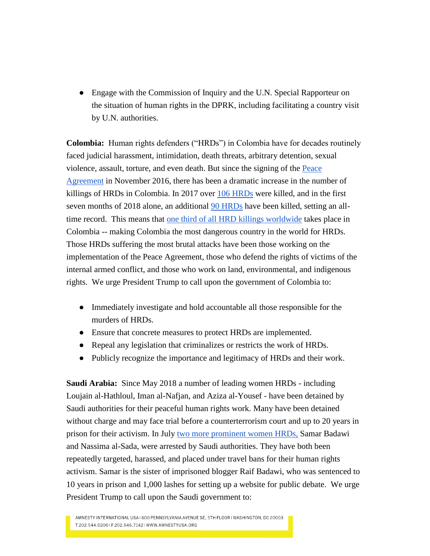• Engage with the Commission of Inquiry and the U.N. Special Rapporteur on the situation of human rights in the DPRK, including facilitating a country visit by U.N. authorities.

**Colombia:** Human rights defenders ("HRDs") in Colombia have for decades routinely faced judicial harassment, intimidation, death threats, arbitrary detention, sexual violence, assault, torture, and even death. But since the signing of th[e](https://www.amnesty.org/download/Documents/AMR2381902018ENGLISH.pdf) [Peace](https://www.amnesty.org/download/Documents/AMR2381902018ENGLISH.pdf)  [Agreement](https://www.amnesty.org/download/Documents/AMR2381902018ENGLISH.pdf) in November 2016, there has been a dramatic increase in the number of killings of HRDs in Colombia. In 2017 over [106 HRDs](https://choco.org/documentos/informe-anual-2017-piedra-en-el-zapato.pdf) were killed, and in the first seven months of 2018 alone, an additional [90 HRDs](https://www.abcolombia.org.uk/concerns-about-new-spike-in-killings-of-human-rights-defenders-in-colombia/) have been killed, setting an alltime record. This means that [one third of all HRD killings worldwide](https://www.frontlinedefenders.org/sites/default/files/annual_report_digital.pdf) takes place in Colombia -- making Colombia the most dangerous country in the world for HRDs. Those HRDs suffering the most brutal attacks have been those working on the implementation of the Peace Agreement, those who defend the rights of victims of the internal armed conflict, and those who work on land, environmental, and indigenous rights. We urge President Trump to call upon the government of Colombia to:

- Immediately investigate and hold accountable all those responsible for the murders of HRDs.
- Ensure that concrete measures to protect HRDs are implemented.
- Repeal any legislation that criminalizes or restricts the work of HRDs.
- Publicly recognize the importance and legitimacy of HRDs and their work.

**Saudi Arabia:** Since May 2018 a number of leading women HRDs - including Loujain al-Hathloul, Iman al-Nafjan, and Aziza al-Yousef - have been detained by Saudi authorities for their peaceful human rights work. Many have been detained without charge and may face trial before a counterterrorism court and up to 20 years in prison for their activism. In July [two more prominent women HRDs,](https://www.amnesty.org/en/latest/news/2018/08/saudi-arabia-two-more-women-human-rights-activists-arrested-in-unrelenting-crackdown/) Samar Badawi and Nassima al-Sada, were arrested by Saudi authorities. They have both been repeatedly targeted, harassed, and placed under travel bans for their human rights activism. Samar is the sister of imprisoned blogger Raif Badawi, who was sentenced to 10 years in prison and 1,000 lashes for setting up a website for public debate. We urge President Trump to call upon the Saudi government to:

AMNESTY INTERNATIONAL USA I 600 PENNSYLVANIA AVENUE SE, 5TH FLOOR I WASHINGTON, DC 20003 T 202.544.02001F 202.546.71421WWW.AMNESTYUSA.ORG